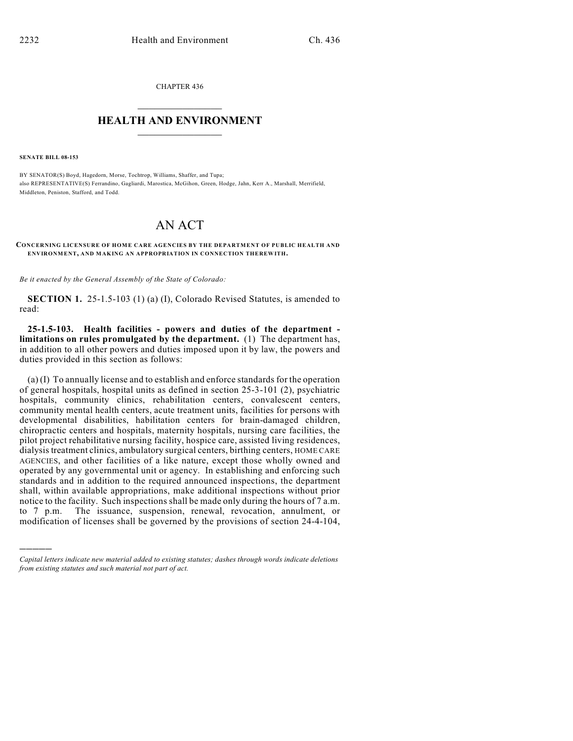CHAPTER 436  $\mathcal{L}_\text{max}$  . The set of the set of the set of the set of the set of the set of the set of the set of the set of the set of the set of the set of the set of the set of the set of the set of the set of the set of the set

## **HEALTH AND ENVIRONMENT**  $\_$

**SENATE BILL 08-153**

)))))

BY SENATOR(S) Boyd, Hagedorn, Morse, Tochtrop, Williams, Shaffer, and Tupa; also REPRESENTATIVE(S) Ferrandino, Gagliardi, Marostica, McGihon, Green, Hodge, Jahn, Kerr A., Marshall, Merrifield, Middleton, Peniston, Stafford, and Todd.

## AN ACT

## **CONCERNING LICENSURE OF HOME CARE AGENCIES BY THE DEPARTMENT OF PUBLIC HEALTH AND ENVIRONMENT, AND MAKING AN APPROPRIATION IN CONNECTION THEREWITH.**

*Be it enacted by the General Assembly of the State of Colorado:*

**SECTION 1.** 25-1.5-103 (1) (a) (I), Colorado Revised Statutes, is amended to read:

**25-1.5-103. Health facilities - powers and duties of the department limitations on rules promulgated by the department.** (1) The department has, in addition to all other powers and duties imposed upon it by law, the powers and duties provided in this section as follows:

(a) (I) To annually license and to establish and enforce standards for the operation of general hospitals, hospital units as defined in section 25-3-101 (2), psychiatric hospitals, community clinics, rehabilitation centers, convalescent centers, community mental health centers, acute treatment units, facilities for persons with developmental disabilities, habilitation centers for brain-damaged children, chiropractic centers and hospitals, maternity hospitals, nursing care facilities, the pilot project rehabilitative nursing facility, hospice care, assisted living residences, dialysis treatment clinics, ambulatory surgical centers, birthing centers, HOME CARE AGENCIES, and other facilities of a like nature, except those wholly owned and operated by any governmental unit or agency. In establishing and enforcing such standards and in addition to the required announced inspections, the department shall, within available appropriations, make additional inspections without prior notice to the facility. Such inspections shall be made only during the hours of 7 a.m. to 7 p.m. The issuance, suspension, renewal, revocation, annulment, or modification of licenses shall be governed by the provisions of section 24-4-104,

*Capital letters indicate new material added to existing statutes; dashes through words indicate deletions from existing statutes and such material not part of act.*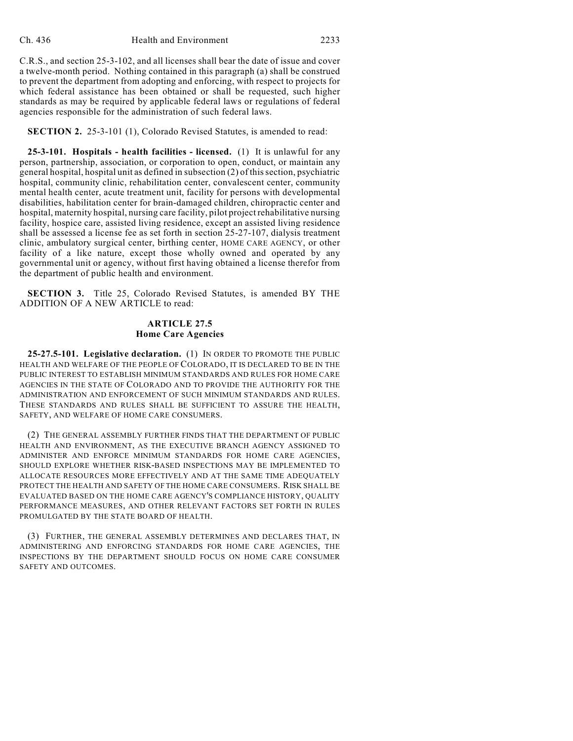C.R.S., and section 25-3-102, and all licenses shall bear the date of issue and cover a twelve-month period. Nothing contained in this paragraph (a) shall be construed to prevent the department from adopting and enforcing, with respect to projects for which federal assistance has been obtained or shall be requested, such higher standards as may be required by applicable federal laws or regulations of federal agencies responsible for the administration of such federal laws.

**SECTION 2.** 25-3-101 (1), Colorado Revised Statutes, is amended to read:

**25-3-101. Hospitals - health facilities - licensed.** (1) It is unlawful for any person, partnership, association, or corporation to open, conduct, or maintain any general hospital, hospital unit as defined in subsection (2) of this section, psychiatric hospital, community clinic, rehabilitation center, convalescent center, community mental health center, acute treatment unit, facility for persons with developmental disabilities, habilitation center for brain-damaged children, chiropractic center and hospital, maternity hospital, nursing care facility, pilot project rehabilitative nursing facility, hospice care, assisted living residence, except an assisted living residence shall be assessed a license fee as set forth in section 25-27-107, dialysis treatment clinic, ambulatory surgical center, birthing center, HOME CARE AGENCY, or other facility of a like nature, except those wholly owned and operated by any governmental unit or agency, without first having obtained a license therefor from the department of public health and environment.

**SECTION 3.** Title 25, Colorado Revised Statutes, is amended BY THE ADDITION OF A NEW ARTICLE to read:

## **ARTICLE 27.5 Home Care Agencies**

**25-27.5-101. Legislative declaration.** (1) IN ORDER TO PROMOTE THE PUBLIC HEALTH AND WELFARE OF THE PEOPLE OF COLORADO, IT IS DECLARED TO BE IN THE PUBLIC INTEREST TO ESTABLISH MINIMUM STANDARDS AND RULES FOR HOME CARE AGENCIES IN THE STATE OF COLORADO AND TO PROVIDE THE AUTHORITY FOR THE ADMINISTRATION AND ENFORCEMENT OF SUCH MINIMUM STANDARDS AND RULES. THESE STANDARDS AND RULES SHALL BE SUFFICIENT TO ASSURE THE HEALTH, SAFETY, AND WELFARE OF HOME CARE CONSUMERS.

(2) THE GENERAL ASSEMBLY FURTHER FINDS THAT THE DEPARTMENT OF PUBLIC HEALTH AND ENVIRONMENT, AS THE EXECUTIVE BRANCH AGENCY ASSIGNED TO ADMINISTER AND ENFORCE MINIMUM STANDARDS FOR HOME CARE AGENCIES, SHOULD EXPLORE WHETHER RISK-BASED INSPECTIONS MAY BE IMPLEMENTED TO ALLOCATE RESOURCES MORE EFFECTIVELY AND AT THE SAME TIME ADEQUATELY PROTECT THE HEALTH AND SAFETY OF THE HOME CARE CONSUMERS. RISK SHALL BE EVALUATED BASED ON THE HOME CARE AGENCY'S COMPLIANCE HISTORY, QUALITY PERFORMANCE MEASURES, AND OTHER RELEVANT FACTORS SET FORTH IN RULES PROMULGATED BY THE STATE BOARD OF HEALTH.

(3) FURTHER, THE GENERAL ASSEMBLY DETERMINES AND DECLARES THAT, IN ADMINISTERING AND ENFORCING STANDARDS FOR HOME CARE AGENCIES, THE INSPECTIONS BY THE DEPARTMENT SHOULD FOCUS ON HOME CARE CONSUMER SAFETY AND OUTCOMES.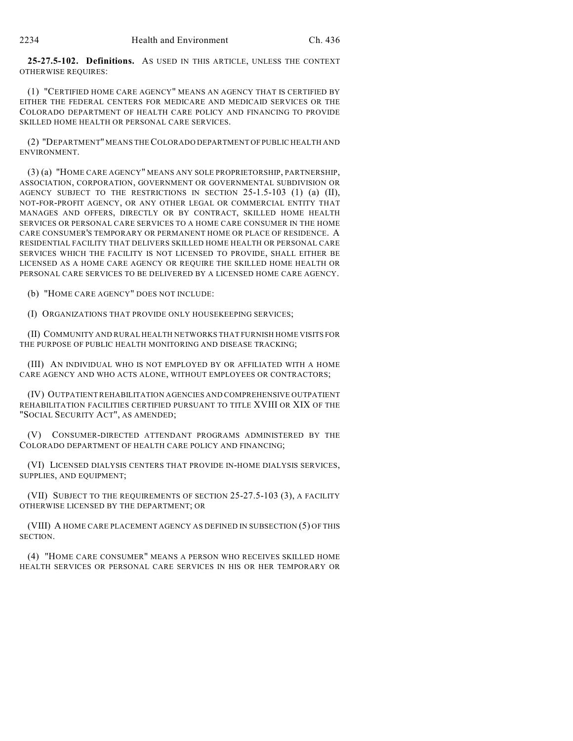**25-27.5-102. Definitions.** AS USED IN THIS ARTICLE, UNLESS THE CONTEXT OTHERWISE REQUIRES:

(1) "CERTIFIED HOME CARE AGENCY" MEANS AN AGENCY THAT IS CERTIFIED BY EITHER THE FEDERAL CENTERS FOR MEDICARE AND MEDICAID SERVICES OR THE COLORADO DEPARTMENT OF HEALTH CARE POLICY AND FINANCING TO PROVIDE SKILLED HOME HEALTH OR PERSONAL CARE SERVICES.

(2) "DEPARTMENT" MEANS THE COLORADO DEPARTMENT OF PUBLIC HEALTH AND ENVIRONMENT.

(3) (a) "HOME CARE AGENCY" MEANS ANY SOLE PROPRIETORSHIP, PARTNERSHIP, ASSOCIATION, CORPORATION, GOVERNMENT OR GOVERNMENTAL SUBDIVISION OR AGENCY SUBJECT TO THE RESTRICTIONS IN SECTION 25-1.5-103 (1) (a) (II), NOT-FOR-PROFIT AGENCY, OR ANY OTHER LEGAL OR COMMERCIAL ENTITY THAT MANAGES AND OFFERS, DIRECTLY OR BY CONTRACT, SKILLED HOME HEALTH SERVICES OR PERSONAL CARE SERVICES TO A HOME CARE CONSUMER IN THE HOME CARE CONSUMER'S TEMPORARY OR PERMANENT HOME OR PLACE OF RESIDENCE. A RESIDENTIAL FACILITY THAT DELIVERS SKILLED HOME HEALTH OR PERSONAL CARE SERVICES WHICH THE FACILITY IS NOT LICENSED TO PROVIDE, SHALL EITHER BE LICENSED AS A HOME CARE AGENCY OR REQUIRE THE SKILLED HOME HEALTH OR PERSONAL CARE SERVICES TO BE DELIVERED BY A LICENSED HOME CARE AGENCY.

(b) "HOME CARE AGENCY" DOES NOT INCLUDE:

(I) ORGANIZATIONS THAT PROVIDE ONLY HOUSEKEEPING SERVICES;

(II) COMMUNITY AND RURAL HEALTH NETWORKS THAT FURNISH HOME VISITS FOR THE PURPOSE OF PUBLIC HEALTH MONITORING AND DISEASE TRACKING;

(III) AN INDIVIDUAL WHO IS NOT EMPLOYED BY OR AFFILIATED WITH A HOME CARE AGENCY AND WHO ACTS ALONE, WITHOUT EMPLOYEES OR CONTRACTORS;

(IV) OUTPATIENT REHABILITATION AGENCIES AND COMPREHENSIVE OUTPATIENT REHABILITATION FACILITIES CERTIFIED PURSUANT TO TITLE XVIII OR XIX OF THE "SOCIAL SECURITY ACT", AS AMENDED;

(V) CONSUMER-DIRECTED ATTENDANT PROGRAMS ADMINISTERED BY THE COLORADO DEPARTMENT OF HEALTH CARE POLICY AND FINANCING;

(VI) LICENSED DIALYSIS CENTERS THAT PROVIDE IN-HOME DIALYSIS SERVICES, SUPPLIES, AND EQUIPMENT;

(VII) SUBJECT TO THE REQUIREMENTS OF SECTION 25-27.5-103 (3), A FACILITY OTHERWISE LICENSED BY THE DEPARTMENT; OR

(VIII) A HOME CARE PLACEMENT AGENCY AS DEFINED IN SUBSECTION (5) OF THIS SECTION.

(4) "HOME CARE CONSUMER" MEANS A PERSON WHO RECEIVES SKILLED HOME HEALTH SERVICES OR PERSONAL CARE SERVICES IN HIS OR HER TEMPORARY OR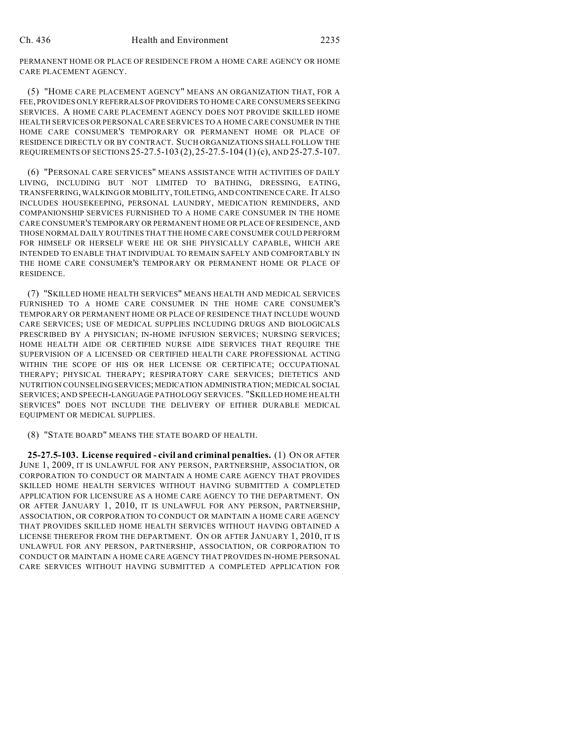PERMANENT HOME OR PLACE OF RESIDENCE FROM A HOME CARE AGENCY OR HOME CARE PLACEMENT AGENCY.

(5) "HOME CARE PLACEMENT AGENCY" MEANS AN ORGANIZATION THAT, FOR A FEE, PROVIDES ONLY REFERRALS OF PROVIDERS TO HOME CARE CONSUMERS SEEKING SERVICES. A HOME CARE PLACEMENT AGENCY DOES NOT PROVIDE SKILLED HOME HEALTH SERVICES OR PERSONAL CARE SERVICES TO A HOME CARE CONSUMER IN THE HOME CARE CONSUMER'S TEMPORARY OR PERMANENT HOME OR PLACE OF RESIDENCE DIRECTLY OR BY CONTRACT. SUCH ORGANIZATIONS SHALL FOLLOW THE REQUIREMENTS OF SECTIONS 25-27.5-103 (2), 25-27.5-104 (1) (c), AND 25-27.5-107.

(6) "PERSONAL CARE SERVICES" MEANS ASSISTANCE WITH ACTIVITIES OF DAILY LIVING, INCLUDING BUT NOT LIMITED TO BATHING, DRESSING, EATING, TRANSFERRING, WALKING OR MOBILITY, TOILETING, AND CONTINENCE CARE. IT ALSO INCLUDES HOUSEKEEPING, PERSONAL LAUNDRY, MEDICATION REMINDERS, AND COMPANIONSHIP SERVICES FURNISHED TO A HOME CARE CONSUMER IN THE HOME CARE CONSUMER'S TEMPORARY OR PERMANENT HOME OR PLACE OF RESIDENCE, AND THOSE NORMAL DAILY ROUTINES THAT THE HOME CARE CONSUMER COULD PERFORM FOR HIMSELF OR HERSELF WERE HE OR SHE PHYSICALLY CAPABLE, WHICH ARE INTENDED TO ENABLE THAT INDIVIDUAL TO REMAIN SAFELY AND COMFORTABLY IN THE HOME CARE CONSUMER'S TEMPORARY OR PERMANENT HOME OR PLACE OF RESIDENCE.

(7) "SKILLED HOME HEALTH SERVICES" MEANS HEALTH AND MEDICAL SERVICES FURNISHED TO A HOME CARE CONSUMER IN THE HOME CARE CONSUMER'S TEMPORARY OR PERMANENT HOME OR PLACE OF RESIDENCE THAT INCLUDE WOUND CARE SERVICES; USE OF MEDICAL SUPPLIES INCLUDING DRUGS AND BIOLOGICALS PRESCRIBED BY A PHYSICIAN; IN-HOME INFUSION SERVICES; NURSING SERVICES; HOME HEALTH AIDE OR CERTIFIED NURSE AIDE SERVICES THAT REQUIRE THE SUPERVISION OF A LICENSED OR CERTIFIED HEALTH CARE PROFESSIONAL ACTING WITHIN THE SCOPE OF HIS OR HER LICENSE OR CERTIFICATE; OCCUPATIONAL THERAPY; PHYSICAL THERAPY; RESPIRATORY CARE SERVICES; DIETETICS AND NUTRITION COUNSELING SERVICES; MEDICATION ADMINISTRATION; MEDICAL SOCIAL SERVICES; AND SPEECH-LANGUAGE PATHOLOGY SERVICES. "SKILLED HOME HEALTH SERVICES" DOES NOT INCLUDE THE DELIVERY OF EITHER DURABLE MEDICAL EQUIPMENT OR MEDICAL SUPPLIES.

(8) "STATE BOARD" MEANS THE STATE BOARD OF HEALTH.

**25-27.5-103. License required - civil and criminal penalties.** (1) ON OR AFTER JUNE 1, 2009, IT IS UNLAWFUL FOR ANY PERSON, PARTNERSHIP, ASSOCIATION, OR CORPORATION TO CONDUCT OR MAINTAIN A HOME CARE AGENCY THAT PROVIDES SKILLED HOME HEALTH SERVICES WITHOUT HAVING SUBMITTED A COMPLETED APPLICATION FOR LICENSURE AS A HOME CARE AGENCY TO THE DEPARTMENT. ON OR AFTER JANUARY 1, 2010, IT IS UNLAWFUL FOR ANY PERSON, PARTNERSHIP, ASSOCIATION, OR CORPORATION TO CONDUCT OR MAINTAIN A HOME CARE AGENCY THAT PROVIDES SKILLED HOME HEALTH SERVICES WITHOUT HAVING OBTAINED A LICENSE THEREFOR FROM THE DEPARTMENT. ON OR AFTER JANUARY 1, 2010, IT IS UNLAWFUL FOR ANY PERSON, PARTNERSHIP, ASSOCIATION, OR CORPORATION TO CONDUCT OR MAINTAIN A HOME CARE AGENCY THAT PROVIDES IN-HOME PERSONAL CARE SERVICES WITHOUT HAVING SUBMITTED A COMPLETED APPLICATION FOR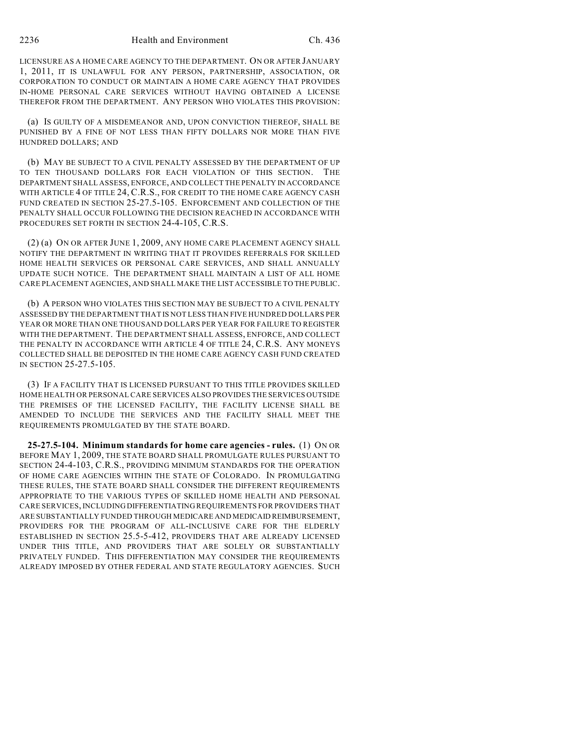LICENSURE AS A HOME CARE AGENCY TO THE DEPARTMENT. ON OR AFTER JANUARY 1, 2011, IT IS UNLAWFUL FOR ANY PERSON, PARTNERSHIP, ASSOCIATION, OR CORPORATION TO CONDUCT OR MAINTAIN A HOME CARE AGENCY THAT PROVIDES IN-HOME PERSONAL CARE SERVICES WITHOUT HAVING OBTAINED A LICENSE THEREFOR FROM THE DEPARTMENT. ANY PERSON WHO VIOLATES THIS PROVISION:

(a) IS GUILTY OF A MISDEMEANOR AND, UPON CONVICTION THEREOF, SHALL BE PUNISHED BY A FINE OF NOT LESS THAN FIFTY DOLLARS NOR MORE THAN FIVE HUNDRED DOLLARS; AND

(b) MAY BE SUBJECT TO A CIVIL PENALTY ASSESSED BY THE DEPARTMENT OF UP TO TEN THOUSAND DOLLARS FOR EACH VIOLATION OF THIS SECTION. THE DEPARTMENT SHALL ASSESS, ENFORCE, AND COLLECT THE PENALTY IN ACCORDANCE WITH ARTICLE 4 OF TITLE 24, C.R.S., FOR CREDIT TO THE HOME CARE AGENCY CASH FUND CREATED IN SECTION 25-27.5-105. ENFORCEMENT AND COLLECTION OF THE PENALTY SHALL OCCUR FOLLOWING THE DECISION REACHED IN ACCORDANCE WITH PROCEDURES SET FORTH IN SECTION 24-4-105, C.R.S.

(2) (a) ON OR AFTER JUNE 1, 2009, ANY HOME CARE PLACEMENT AGENCY SHALL NOTIFY THE DEPARTMENT IN WRITING THAT IT PROVIDES REFERRALS FOR SKILLED HOME HEALTH SERVICES OR PERSONAL CARE SERVICES, AND SHALL ANNUALLY UPDATE SUCH NOTICE. THE DEPARTMENT SHALL MAINTAIN A LIST OF ALL HOME CARE PLACEMENT AGENCIES, AND SHALL MAKE THE LIST ACCESSIBLE TO THE PUBLIC.

(b) A PERSON WHO VIOLATES THIS SECTION MAY BE SUBJECT TO A CIVIL PENALTY ASSESSED BY THE DEPARTMENT THAT IS NOT LESS THAN FIVE HUNDRED DOLLARS PER YEAR OR MORE THAN ONE THOUSAND DOLLARS PER YEAR FOR FAILURE TO REGISTER WITH THE DEPARTMENT. THE DEPARTMENT SHALL ASSESS, ENFORCE, AND COLLECT THE PENALTY IN ACCORDANCE WITH ARTICLE 4 OF TITLE 24, C.R.S. ANY MONEYS COLLECTED SHALL BE DEPOSITED IN THE HOME CARE AGENCY CASH FUND CREATED IN SECTION 25-27.5-105.

(3) IF A FACILITY THAT IS LICENSED PURSUANT TO THIS TITLE PROVIDES SKILLED HOME HEALTH OR PERSONAL CARE SERVICES ALSO PROVIDES THE SERVICES OUTSIDE THE PREMISES OF THE LICENSED FACILITY, THE FACILITY LICENSE SHALL BE AMENDED TO INCLUDE THE SERVICES AND THE FACILITY SHALL MEET THE REQUIREMENTS PROMULGATED BY THE STATE BOARD.

**25-27.5-104. Minimum standards for home care agencies - rules.** (1) ON OR BEFORE MAY 1, 2009, THE STATE BOARD SHALL PROMULGATE RULES PURSUANT TO SECTION 24-4-103, C.R.S., PROVIDING MINIMUM STANDARDS FOR THE OPERATION OF HOME CARE AGENCIES WITHIN THE STATE OF COLORADO. IN PROMULGATING THESE RULES, THE STATE BOARD SHALL CONSIDER THE DIFFERENT REQUIREMENTS APPROPRIATE TO THE VARIOUS TYPES OF SKILLED HOME HEALTH AND PERSONAL CARE SERVICES, INCLUDING DIFFERENTIATING REQUIREMENTS FOR PROVIDERS THAT ARE SUBSTANTIALLY FUNDED THROUGH MEDICARE AND MEDICAID REIMBURSEMENT, PROVIDERS FOR THE PROGRAM OF ALL-INCLUSIVE CARE FOR THE ELDERLY ESTABLISHED IN SECTION 25.5-5-412, PROVIDERS THAT ARE ALREADY LICENSED UNDER THIS TITLE, AND PROVIDERS THAT ARE SOLELY OR SUBSTANTIALLY PRIVATELY FUNDED. THIS DIFFERENTIATION MAY CONSIDER THE REQUIREMENTS ALREADY IMPOSED BY OTHER FEDERAL AND STATE REGULATORY AGENCIES. SUCH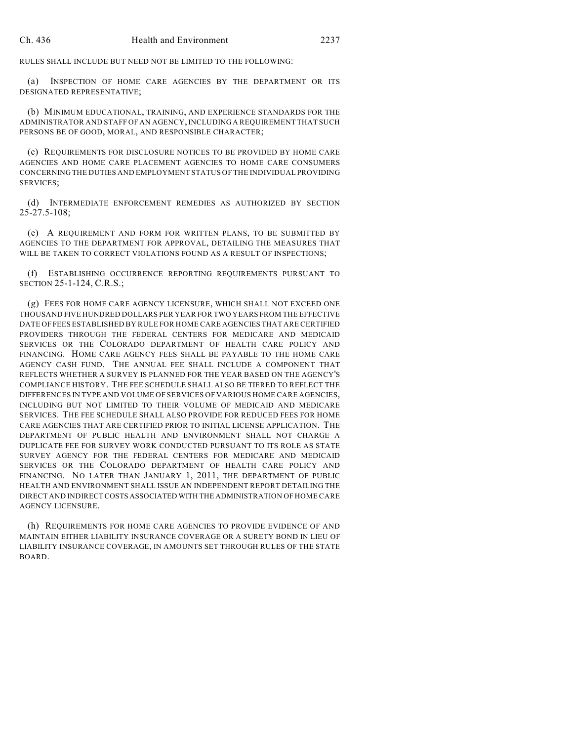RULES SHALL INCLUDE BUT NEED NOT BE LIMITED TO THE FOLLOWING:

(a) INSPECTION OF HOME CARE AGENCIES BY THE DEPARTMENT OR ITS DESIGNATED REPRESENTATIVE;

(b) MINIMUM EDUCATIONAL, TRAINING, AND EXPERIENCE STANDARDS FOR THE ADMINISTRATOR AND STAFF OF AN AGENCY, INCLUDING A REQUIREMENT THAT SUCH PERSONS BE OF GOOD, MORAL, AND RESPONSIBLE CHARACTER;

(c) REQUIREMENTS FOR DISCLOSURE NOTICES TO BE PROVIDED BY HOME CARE AGENCIES AND HOME CARE PLACEMENT AGENCIES TO HOME CARE CONSUMERS CONCERNING THE DUTIES AND EMPLOYMENT STATUS OF THE INDIVIDUAL PROVIDING SERVICES;

(d) INTERMEDIATE ENFORCEMENT REMEDIES AS AUTHORIZED BY SECTION 25-27.5-108;

(e) A REQUIREMENT AND FORM FOR WRITTEN PLANS, TO BE SUBMITTED BY AGENCIES TO THE DEPARTMENT FOR APPROVAL, DETAILING THE MEASURES THAT WILL BE TAKEN TO CORRECT VIOLATIONS FOUND AS A RESULT OF INSPECTIONS;

(f) ESTABLISHING OCCURRENCE REPORTING REQUIREMENTS PURSUANT TO SECTION 25-1-124, C.R.S.;

(g) FEES FOR HOME CARE AGENCY LICENSURE, WHICH SHALL NOT EXCEED ONE THOUSAND FIVE HUNDRED DOLLARS PER YEAR FOR TWO YEARS FROM THE EFFECTIVE DATE OF FEES ESTABLISHED BY RULE FOR HOME CARE AGENCIES THAT ARE CERTIFIED PROVIDERS THROUGH THE FEDERAL CENTERS FOR MEDICARE AND MEDICAID SERVICES OR THE COLORADO DEPARTMENT OF HEALTH CARE POLICY AND FINANCING. HOME CARE AGENCY FEES SHALL BE PAYABLE TO THE HOME CARE AGENCY CASH FUND. THE ANNUAL FEE SHALL INCLUDE A COMPONENT THAT REFLECTS WHETHER A SURVEY IS PLANNED FOR THE YEAR BASED ON THE AGENCY'S COMPLIANCE HISTORY. THE FEE SCHEDULE SHALL ALSO BE TIERED TO REFLECT THE DIFFERENCES IN TYPE AND VOLUME OF SERVICES OF VARIOUS HOME CARE AGENCIES, INCLUDING BUT NOT LIMITED TO THEIR VOLUME OF MEDICAID AND MEDICARE SERVICES. THE FEE SCHEDULE SHALL ALSO PROVIDE FOR REDUCED FEES FOR HOME CARE AGENCIES THAT ARE CERTIFIED PRIOR TO INITIAL LICENSE APPLICATION. THE DEPARTMENT OF PUBLIC HEALTH AND ENVIRONMENT SHALL NOT CHARGE A DUPLICATE FEE FOR SURVEY WORK CONDUCTED PURSUANT TO ITS ROLE AS STATE SURVEY AGENCY FOR THE FEDERAL CENTERS FOR MEDICARE AND MEDICAID SERVICES OR THE COLORADO DEPARTMENT OF HEALTH CARE POLICY AND FINANCING. NO LATER THAN JANUARY 1, 2011, THE DEPARTMENT OF PUBLIC HEALTH AND ENVIRONMENT SHALL ISSUE AN INDEPENDENT REPORT DETAILING THE DIRECT AND INDIRECT COSTS ASSOCIATED WITH THE ADMINISTRATION OF HOME CARE AGENCY LICENSURE.

(h) REQUIREMENTS FOR HOME CARE AGENCIES TO PROVIDE EVIDENCE OF AND MAINTAIN EITHER LIABILITY INSURANCE COVERAGE OR A SURETY BOND IN LIEU OF LIABILITY INSURANCE COVERAGE, IN AMOUNTS SET THROUGH RULES OF THE STATE BOARD.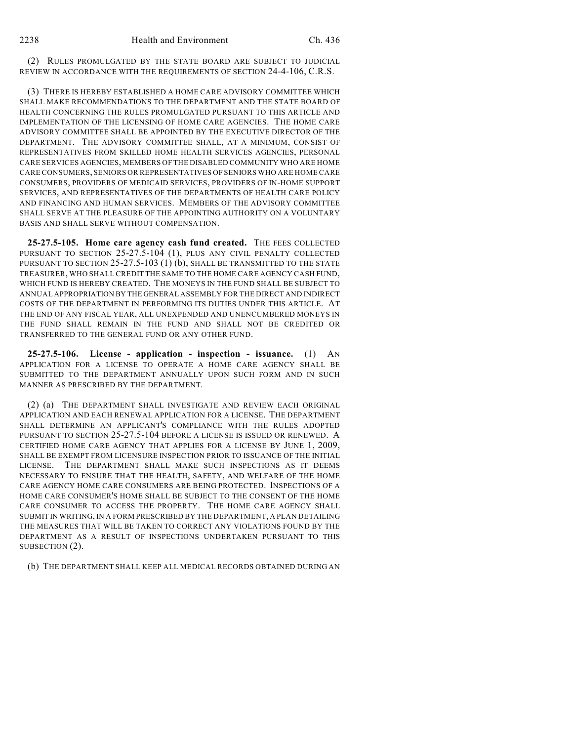(2) RULES PROMULGATED BY THE STATE BOARD ARE SUBJECT TO JUDICIAL REVIEW IN ACCORDANCE WITH THE REQUIREMENTS OF SECTION 24-4-106, C.R.S.

(3) THERE IS HEREBY ESTABLISHED A HOME CARE ADVISORY COMMITTEE WHICH SHALL MAKE RECOMMENDATIONS TO THE DEPARTMENT AND THE STATE BOARD OF HEALTH CONCERNING THE RULES PROMULGATED PURSUANT TO THIS ARTICLE AND IMPLEMENTATION OF THE LICENSING OF HOME CARE AGENCIES. THE HOME CARE ADVISORY COMMITTEE SHALL BE APPOINTED BY THE EXECUTIVE DIRECTOR OF THE DEPARTMENT. THE ADVISORY COMMITTEE SHALL, AT A MINIMUM, CONSIST OF REPRESENTATIVES FROM SKILLED HOME HEALTH SERVICES AGENCIES, PERSONAL CARE SERVICES AGENCIES, MEMBERS OF THE DISABLED COMMUNITY WHO ARE HOME CARE CONSUMERS, SENIORS OR REPRESENTATIVES OF SENIORS WHO ARE HOME CARE CONSUMERS, PROVIDERS OF MEDICAID SERVICES, PROVIDERS OF IN-HOME SUPPORT SERVICES, AND REPRESENTATIVES OF THE DEPARTMENTS OF HEALTH CARE POLICY AND FINANCING AND HUMAN SERVICES. MEMBERS OF THE ADVISORY COMMITTEE SHALL SERVE AT THE PLEASURE OF THE APPOINTING AUTHORITY ON A VOLUNTARY BASIS AND SHALL SERVE WITHOUT COMPENSATION.

**25-27.5-105. Home care agency cash fund created.** THE FEES COLLECTED PURSUANT TO SECTION 25-27.5-104 (1), PLUS ANY CIVIL PENALTY COLLECTED PURSUANT TO SECTION 25-27.5-103 (1) (b), SHALL BE TRANSMITTED TO THE STATE TREASURER, WHO SHALL CREDIT THE SAME TO THE HOME CARE AGENCY CASH FUND, WHICH FUND IS HEREBY CREATED. THE MONEYS IN THE FUND SHALL BE SUBJECT TO ANNUAL APPROPRIATION BY THE GENERAL ASSEMBLY FOR THE DIRECT AND INDIRECT COSTS OF THE DEPARTMENT IN PERFORMING ITS DUTIES UNDER THIS ARTICLE. AT THE END OF ANY FISCAL YEAR, ALL UNEXPENDED AND UNENCUMBERED MONEYS IN THE FUND SHALL REMAIN IN THE FUND AND SHALL NOT BE CREDITED OR TRANSFERRED TO THE GENERAL FUND OR ANY OTHER FUND.

**25-27.5-106. License - application - inspection - issuance.** (1) AN APPLICATION FOR A LICENSE TO OPERATE A HOME CARE AGENCY SHALL BE SUBMITTED TO THE DEPARTMENT ANNUALLY UPON SUCH FORM AND IN SUCH MANNER AS PRESCRIBED BY THE DEPARTMENT.

(2) (a) THE DEPARTMENT SHALL INVESTIGATE AND REVIEW EACH ORIGINAL APPLICATION AND EACH RENEWAL APPLICATION FOR A LICENSE. THE DEPARTMENT SHALL DETERMINE AN APPLICANT'S COMPLIANCE WITH THE RULES ADOPTED PURSUANT TO SECTION 25-27.5-104 BEFORE A LICENSE IS ISSUED OR RENEWED. A CERTIFIED HOME CARE AGENCY THAT APPLIES FOR A LICENSE BY JUNE 1, 2009, SHALL BE EXEMPT FROM LICENSURE INSPECTION PRIOR TO ISSUANCE OF THE INITIAL LICENSE. THE DEPARTMENT SHALL MAKE SUCH INSPECTIONS AS IT DEEMS NECESSARY TO ENSURE THAT THE HEALTH, SAFETY, AND WELFARE OF THE HOME CARE AGENCY HOME CARE CONSUMERS ARE BEING PROTECTED. INSPECTIONS OF A HOME CARE CONSUMER'S HOME SHALL BE SUBJECT TO THE CONSENT OF THE HOME CARE CONSUMER TO ACCESS THE PROPERTY. THE HOME CARE AGENCY SHALL SUBMIT IN WRITING, IN A FORM PRESCRIBED BY THE DEPARTMENT, A PLAN DETAILING THE MEASURES THAT WILL BE TAKEN TO CORRECT ANY VIOLATIONS FOUND BY THE DEPARTMENT AS A RESULT OF INSPECTIONS UNDERTAKEN PURSUANT TO THIS SUBSECTION (2).

(b) THE DEPARTMENT SHALL KEEP ALL MEDICAL RECORDS OBTAINED DURING AN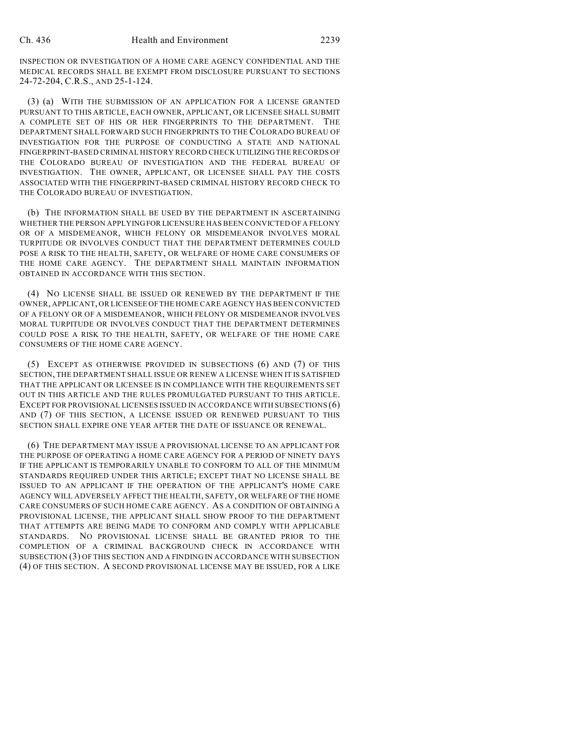INSPECTION OR INVESTIGATION OF A HOME CARE AGENCY CONFIDENTIAL AND THE MEDICAL RECORDS SHALL BE EXEMPT FROM DISCLOSURE PURSUANT TO SECTIONS 24-72-204, C.R.S., AND 25-1-124.

(3) (a) WITH THE SUBMISSION OF AN APPLICATION FOR A LICENSE GRANTED PURSUANT TO THIS ARTICLE, EACH OWNER, APPLICANT, OR LICENSEE SHALL SUBMIT A COMPLETE SET OF HIS OR HER FINGERPRINTS TO THE DEPARTMENT. THE DEPARTMENT SHALL FORWARD SUCH FINGERPRINTS TO THE COLORADO BUREAU OF INVESTIGATION FOR THE PURPOSE OF CONDUCTING A STATE AND NATIONAL FINGERPRINT-BASED CRIMINAL HISTORY RECORD CHECK UTILIZING THE RECORDS OF THE COLORADO BUREAU OF INVESTIGATION AND THE FEDERAL BUREAU OF INVESTIGATION. THE OWNER, APPLICANT, OR LICENSEE SHALL PAY THE COSTS ASSOCIATED WITH THE FINGERPRINT-BASED CRIMINAL HISTORY RECORD CHECK TO THE COLORADO BUREAU OF INVESTIGATION.

(b) THE INFORMATION SHALL BE USED BY THE DEPARTMENT IN ASCERTAINING WHETHER THE PERSON APPLYING FOR LICENSURE HAS BEEN CONVICTED OF A FELONY OR OF A MISDEMEANOR, WHICH FELONY OR MISDEMEANOR INVOLVES MORAL TURPITUDE OR INVOLVES CONDUCT THAT THE DEPARTMENT DETERMINES COULD POSE A RISK TO THE HEALTH, SAFETY, OR WELFARE OF HOME CARE CONSUMERS OF THE HOME CARE AGENCY. THE DEPARTMENT SHALL MAINTAIN INFORMATION OBTAINED IN ACCORDANCE WITH THIS SECTION.

(4) NO LICENSE SHALL BE ISSUED OR RENEWED BY THE DEPARTMENT IF THE OWNER, APPLICANT, OR LICENSEE OF THE HOME CARE AGENCY HAS BEEN CONVICTED OF A FELONY OR OF A MISDEMEANOR, WHICH FELONY OR MISDEMEANOR INVOLVES MORAL TURPITUDE OR INVOLVES CONDUCT THAT THE DEPARTMENT DETERMINES COULD POSE A RISK TO THE HEALTH, SAFETY, OR WELFARE OF THE HOME CARE CONSUMERS OF THE HOME CARE AGENCY.

(5) EXCEPT AS OTHERWISE PROVIDED IN SUBSECTIONS (6) AND (7) OF THIS SECTION, THE DEPARTMENT SHALL ISSUE OR RENEW A LICENSE WHEN IT IS SATISFIED THAT THE APPLICANT OR LICENSEE IS IN COMPLIANCE WITH THE REQUIREMENTS SET OUT IN THIS ARTICLE AND THE RULES PROMULGATED PURSUANT TO THIS ARTICLE. EXCEPT FOR PROVISIONAL LICENSES ISSUED IN ACCORDANCE WITH SUBSECTIONS (6) AND (7) OF THIS SECTION, A LICENSE ISSUED OR RENEWED PURSUANT TO THIS SECTION SHALL EXPIRE ONE YEAR AFTER THE DATE OF ISSUANCE OR RENEWAL.

(6) THE DEPARTMENT MAY ISSUE A PROVISIONAL LICENSE TO AN APPLICANT FOR THE PURPOSE OF OPERATING A HOME CARE AGENCY FOR A PERIOD OF NINETY DAYS IF THE APPLICANT IS TEMPORARILY UNABLE TO CONFORM TO ALL OF THE MINIMUM STANDARDS REQUIRED UNDER THIS ARTICLE; EXCEPT THAT NO LICENSE SHALL BE ISSUED TO AN APPLICANT IF THE OPERATION OF THE APPLICANT'S HOME CARE AGENCY WILL ADVERSELY AFFECT THE HEALTH, SAFETY, OR WELFARE OF THE HOME CARE CONSUMERS OF SUCH HOME CARE AGENCY. AS A CONDITION OF OBTAINING A PROVISIONAL LICENSE, THE APPLICANT SHALL SHOW PROOF TO THE DEPARTMENT THAT ATTEMPTS ARE BEING MADE TO CONFORM AND COMPLY WITH APPLICABLE STANDARDS. NO PROVISIONAL LICENSE SHALL BE GRANTED PRIOR TO THE COMPLETION OF A CRIMINAL BACKGROUND CHECK IN ACCORDANCE WITH SUBSECTION (3) OF THIS SECTION AND A FINDING IN ACCORDANCE WITH SUBSECTION (4) OF THIS SECTION. A SECOND PROVISIONAL LICENSE MAY BE ISSUED, FOR A LIKE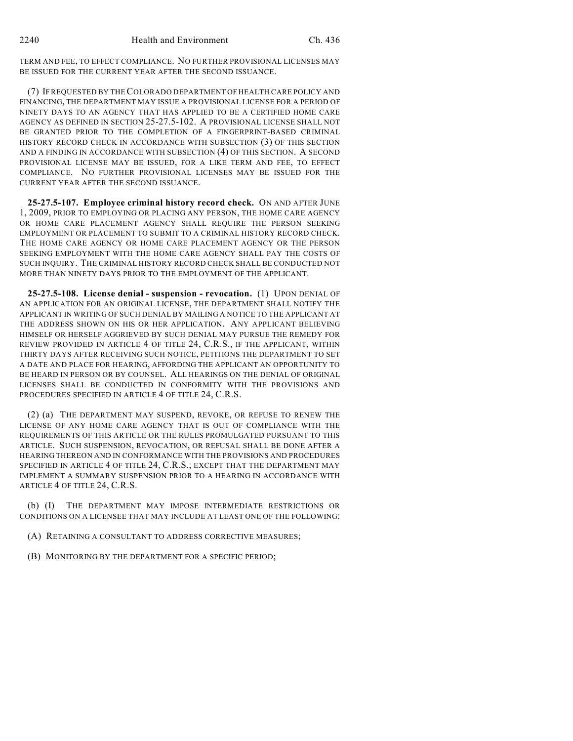TERM AND FEE, TO EFFECT COMPLIANCE. NO FURTHER PROVISIONAL LICENSES MAY BE ISSUED FOR THE CURRENT YEAR AFTER THE SECOND ISSUANCE.

(7) IF REQUESTED BY THE COLORADO DEPARTMENT OF HEALTH CARE POLICY AND FINANCING, THE DEPARTMENT MAY ISSUE A PROVISIONAL LICENSE FOR A PERIOD OF NINETY DAYS TO AN AGENCY THAT HAS APPLIED TO BE A CERTIFIED HOME CARE AGENCY AS DEFINED IN SECTION 25-27.5-102. A PROVISIONAL LICENSE SHALL NOT BE GRANTED PRIOR TO THE COMPLETION OF A FINGERPRINT-BASED CRIMINAL HISTORY RECORD CHECK IN ACCORDANCE WITH SUBSECTION (3) OF THIS SECTION AND A FINDING IN ACCORDANCE WITH SUBSECTION (4) OF THIS SECTION. A SECOND PROVISIONAL LICENSE MAY BE ISSUED, FOR A LIKE TERM AND FEE, TO EFFECT COMPLIANCE. NO FURTHER PROVISIONAL LICENSES MAY BE ISSUED FOR THE CURRENT YEAR AFTER THE SECOND ISSUANCE.

**25-27.5-107. Employee criminal history record check.** ON AND AFTER JUNE 1, 2009, PRIOR TO EMPLOYING OR PLACING ANY PERSON, THE HOME CARE AGENCY OR HOME CARE PLACEMENT AGENCY SHALL REQUIRE THE PERSON SEEKING EMPLOYMENT OR PLACEMENT TO SUBMIT TO A CRIMINAL HISTORY RECORD CHECK. THE HOME CARE AGENCY OR HOME CARE PLACEMENT AGENCY OR THE PERSON SEEKING EMPLOYMENT WITH THE HOME CARE AGENCY SHALL PAY THE COSTS OF SUCH INQUIRY. THE CRIMINAL HISTORY RECORD CHECK SHALL BE CONDUCTED NOT MORE THAN NINETY DAYS PRIOR TO THE EMPLOYMENT OF THE APPLICANT.

**25-27.5-108. License denial - suspension - revocation.** (1) UPON DENIAL OF AN APPLICATION FOR AN ORIGINAL LICENSE, THE DEPARTMENT SHALL NOTIFY THE APPLICANT IN WRITING OF SUCH DENIAL BY MAILING A NOTICE TO THE APPLICANT AT THE ADDRESS SHOWN ON HIS OR HER APPLICATION. ANY APPLICANT BELIEVING HIMSELF OR HERSELF AGGRIEVED BY SUCH DENIAL MAY PURSUE THE REMEDY FOR REVIEW PROVIDED IN ARTICLE 4 OF TITLE 24, C.R.S., IF THE APPLICANT, WITHIN THIRTY DAYS AFTER RECEIVING SUCH NOTICE, PETITIONS THE DEPARTMENT TO SET A DATE AND PLACE FOR HEARING, AFFORDING THE APPLICANT AN OPPORTUNITY TO BE HEARD IN PERSON OR BY COUNSEL. ALL HEARINGS ON THE DENIAL OF ORIGINAL LICENSES SHALL BE CONDUCTED IN CONFORMITY WITH THE PROVISIONS AND PROCEDURES SPECIFIED IN ARTICLE 4 OF TITLE 24, C.R.S.

(2) (a) THE DEPARTMENT MAY SUSPEND, REVOKE, OR REFUSE TO RENEW THE LICENSE OF ANY HOME CARE AGENCY THAT IS OUT OF COMPLIANCE WITH THE REQUIREMENTS OF THIS ARTICLE OR THE RULES PROMULGATED PURSUANT TO THIS ARTICLE. SUCH SUSPENSION, REVOCATION, OR REFUSAL SHALL BE DONE AFTER A HEARING THEREON AND IN CONFORMANCE WITH THE PROVISIONS AND PROCEDURES SPECIFIED IN ARTICLE 4 OF TITLE 24, C.R.S.; EXCEPT THAT THE DEPARTMENT MAY IMPLEMENT A SUMMARY SUSPENSION PRIOR TO A HEARING IN ACCORDANCE WITH ARTICLE 4 OF TITLE 24, C.R.S.

(b) (I) THE DEPARTMENT MAY IMPOSE INTERMEDIATE RESTRICTIONS OR CONDITIONS ON A LICENSEE THAT MAY INCLUDE AT LEAST ONE OF THE FOLLOWING:

(A) RETAINING A CONSULTANT TO ADDRESS CORRECTIVE MEASURES;

(B) MONITORING BY THE DEPARTMENT FOR A SPECIFIC PERIOD;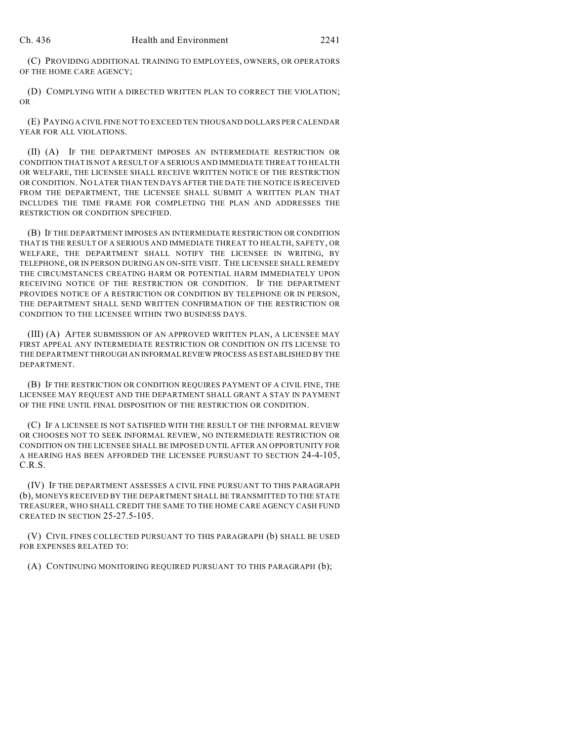(C) PROVIDING ADDITIONAL TRAINING TO EMPLOYEES, OWNERS, OR OPERATORS OF THE HOME CARE AGENCY;

(D) COMPLYING WITH A DIRECTED WRITTEN PLAN TO CORRECT THE VIOLATION; OR

(E) PAYING A CIVIL FINE NOT TO EXCEED TEN THOUSAND DOLLARS PER CALENDAR YEAR FOR ALL VIOLATIONS.

(II) (A) IF THE DEPARTMENT IMPOSES AN INTERMEDIATE RESTRICTION OR CONDITION THAT IS NOT A RESULT OF A SERIOUS AND IMMEDIATE THREAT TO HEALTH OR WELFARE, THE LICENSEE SHALL RECEIVE WRITTEN NOTICE OF THE RESTRICTION OR CONDITION. NO LATER THAN TEN DAYS AFTER THE DATE THE NOTICE IS RECEIVED FROM THE DEPARTMENT, THE LICENSEE SHALL SUBMIT A WRITTEN PLAN THAT INCLUDES THE TIME FRAME FOR COMPLETING THE PLAN AND ADDRESSES THE RESTRICTION OR CONDITION SPECIFIED.

(B) IF THE DEPARTMENT IMPOSES AN INTERMEDIATE RESTRICTION OR CONDITION THAT IS THE RESULT OF A SERIOUS AND IMMEDIATE THREAT TO HEALTH, SAFETY, OR WELFARE, THE DEPARTMENT SHALL NOTIFY THE LICENSEE IN WRITING, BY TELEPHONE, OR IN PERSON DURING AN ON-SITE VISIT. THE LICENSEE SHALL REMEDY THE CIRCUMSTANCES CREATING HARM OR POTENTIAL HARM IMMEDIATELY UPON RECEIVING NOTICE OF THE RESTRICTION OR CONDITION. IF THE DEPARTMENT PROVIDES NOTICE OF A RESTRICTION OR CONDITION BY TELEPHONE OR IN PERSON, THE DEPARTMENT SHALL SEND WRITTEN CONFIRMATION OF THE RESTRICTION OR CONDITION TO THE LICENSEE WITHIN TWO BUSINESS DAYS.

(III) (A) AFTER SUBMISSION OF AN APPROVED WRITTEN PLAN, A LICENSEE MAY FIRST APPEAL ANY INTERMEDIATE RESTRICTION OR CONDITION ON ITS LICENSE TO THE DEPARTMENT THROUGH AN INFORMAL REVIEW PROCESS AS ESTABLISHED BY THE DEPARTMENT.

(B) IF THE RESTRICTION OR CONDITION REQUIRES PAYMENT OF A CIVIL FINE, THE LICENSEE MAY REQUEST AND THE DEPARTMENT SHALL GRANT A STAY IN PAYMENT OF THE FINE UNTIL FINAL DISPOSITION OF THE RESTRICTION OR CONDITION.

(C) IF A LICENSEE IS NOT SATISFIED WITH THE RESULT OF THE INFORMAL REVIEW OR CHOOSES NOT TO SEEK INFORMAL REVIEW, NO INTERMEDIATE RESTRICTION OR CONDITION ON THE LICENSEE SHALL BE IMPOSED UNTIL AFTER AN OPPORTUNITY FOR A HEARING HAS BEEN AFFORDED THE LICENSEE PURSUANT TO SECTION 24-4-105, C.R.S.

(IV) IF THE DEPARTMENT ASSESSES A CIVIL FINE PURSUANT TO THIS PARAGRAPH (b), MONEYS RECEIVED BY THE DEPARTMENT SHALL BE TRANSMITTED TO THE STATE TREASURER, WHO SHALL CREDIT THE SAME TO THE HOME CARE AGENCY CASH FUND CREATED IN SECTION 25-27.5-105.

(V) CIVIL FINES COLLECTED PURSUANT TO THIS PARAGRAPH (b) SHALL BE USED FOR EXPENSES RELATED TO:

(A) CONTINUING MONITORING REQUIRED PURSUANT TO THIS PARAGRAPH (b);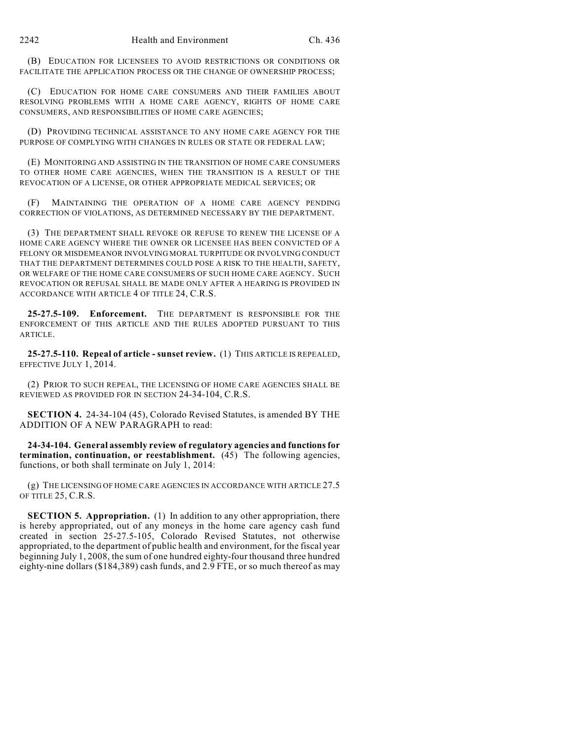(B) EDUCATION FOR LICENSEES TO AVOID RESTRICTIONS OR CONDITIONS OR FACILITATE THE APPLICATION PROCESS OR THE CHANGE OF OWNERSHIP PROCESS;

(C) EDUCATION FOR HOME CARE CONSUMERS AND THEIR FAMILIES ABOUT RESOLVING PROBLEMS WITH A HOME CARE AGENCY, RIGHTS OF HOME CARE CONSUMERS, AND RESPONSIBILITIES OF HOME CARE AGENCIES;

(D) PROVIDING TECHNICAL ASSISTANCE TO ANY HOME CARE AGENCY FOR THE PURPOSE OF COMPLYING WITH CHANGES IN RULES OR STATE OR FEDERAL LAW;

(E) MONITORING AND ASSISTING IN THE TRANSITION OF HOME CARE CONSUMERS TO OTHER HOME CARE AGENCIES, WHEN THE TRANSITION IS A RESULT OF THE REVOCATION OF A LICENSE, OR OTHER APPROPRIATE MEDICAL SERVICES; OR

(F) MAINTAINING THE OPERATION OF A HOME CARE AGENCY PENDING CORRECTION OF VIOLATIONS, AS DETERMINED NECESSARY BY THE DEPARTMENT.

(3) THE DEPARTMENT SHALL REVOKE OR REFUSE TO RENEW THE LICENSE OF A HOME CARE AGENCY WHERE THE OWNER OR LICENSEE HAS BEEN CONVICTED OF A FELONY OR MISDEMEANOR INVOLVING MORAL TURPITUDE OR INVOLVING CONDUCT THAT THE DEPARTMENT DETERMINES COULD POSE A RISK TO THE HEALTH, SAFETY, OR WELFARE OF THE HOME CARE CONSUMERS OF SUCH HOME CARE AGENCY. SUCH REVOCATION OR REFUSAL SHALL BE MADE ONLY AFTER A HEARING IS PROVIDED IN ACCORDANCE WITH ARTICLE 4 OF TITLE 24, C.R.S.

**25-27.5-109. Enforcement.** THE DEPARTMENT IS RESPONSIBLE FOR THE ENFORCEMENT OF THIS ARTICLE AND THE RULES ADOPTED PURSUANT TO THIS ARTICLE.

**25-27.5-110. Repeal of article - sunset review.** (1) THIS ARTICLE IS REPEALED, EFFECTIVE JULY 1, 2014.

(2) PRIOR TO SUCH REPEAL, THE LICENSING OF HOME CARE AGENCIES SHALL BE REVIEWED AS PROVIDED FOR IN SECTION 24-34-104, C.R.S.

**SECTION 4.** 24-34-104 (45), Colorado Revised Statutes, is amended BY THE ADDITION OF A NEW PARAGRAPH to read:

**24-34-104. General assembly review of regulatory agencies and functions for termination, continuation, or reestablishment.** (45) The following agencies, functions, or both shall terminate on July 1, 2014:

(g) THE LICENSING OF HOME CARE AGENCIES IN ACCORDANCE WITH ARTICLE 27.5 OF TITLE 25, C.R.S.

**SECTION 5. Appropriation.** (1) In addition to any other appropriation, there is hereby appropriated, out of any moneys in the home care agency cash fund created in section 25-27.5-105, Colorado Revised Statutes, not otherwise appropriated, to the department of public health and environment, for the fiscal year beginning July 1, 2008, the sum of one hundred eighty-four thousand three hundred eighty-nine dollars (\$184,389) cash funds, and 2.9 FTE, or so much thereof as may